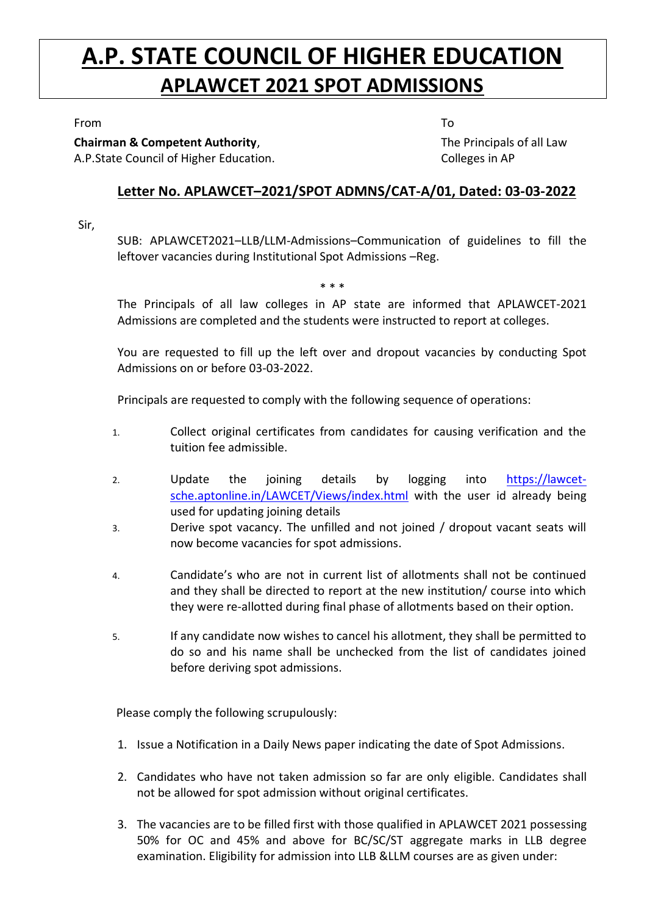## **A.P. STATE COUNCIL OF HIGHER EDUCATION APLAWCET 2021 SPOT ADMISSIONS**

From To

**Chairman & Competent Authority**, A.P.State Council of Higher Education. The Principals of all Law Colleges in AP

## **Letter No. APLAWCET–2021/SPOT ADMNS/CAT-A/01, Dated: 03-03-2022**

Sir,

SUB: APLAWCET2021–LLB/LLM-Admissions–Communication of guidelines to fill the leftover vacancies during Institutional Spot Admissions –Reg.

\* \* \*

The Principals of all law colleges in AP state are informed that APLAWCET-2021 Admissions are completed and the students were instructed to report at colleges.

You are requested to fill up the left over and dropout vacancies by conducting Spot Admissions on or before 03-03-2022.

Principals are requested to comply with the following sequence of operations:

- 1. Collect original certificates from candidates for causing verification and the tuition fee admissible.
- 2. Update the joining details by logging into [https://lawcet](https://lawcet-sche.aptonline.in/LAWCET/Views/index.html)[sche.aptonline.in/LAWCET/Views/index.html](https://lawcet-sche.aptonline.in/LAWCET/Views/index.html) with the user id already being used for updating joining details
- 3. Derive spot vacancy. The unfilled and not joined / dropout vacant seats will now become vacancies for spot admissions.
- 4. Candidate's who are not in current list of allotments shall not be continued and they shall be directed to report at the new institution/ course into which they were re-allotted during final phase of allotments based on their option.
- 5. If any candidate now wishes to cancel his allotment, they shall be permitted to do so and his name shall be unchecked from the list of candidates joined before deriving spot admissions.

Please comply the following scrupulously:

- 1. Issue a Notification in a Daily News paper indicating the date of Spot Admissions.
- 2. Candidates who have not taken admission so far are only eligible. Candidates shall not be allowed for spot admission without original certificates.
- 3. The vacancies are to be filled first with those qualified in APLAWCET 2021 possessing 50% for OC and 45% and above for BC/SC/ST aggregate marks in LLB degree examination. Eligibility for admission into LLB &LLM courses are as given under: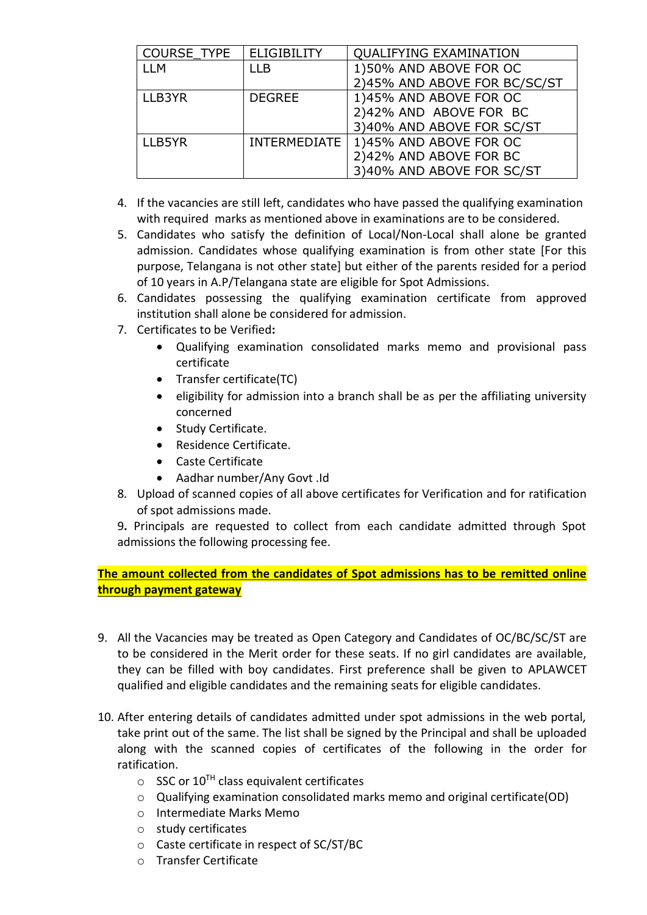| <b>COURSE TYPE</b> | <b>ELIGIBILITY</b>  | <b>QUALIFYING EXAMINATION</b> |
|--------------------|---------------------|-------------------------------|
| LLM                | I I B               | 1)50% AND ABOVE FOR OC        |
|                    |                     | 2)45% AND ABOVE FOR BC/SC/ST  |
| LLB3YR             | <b>DEGREE</b>       | 1)45% AND ABOVE FOR OC        |
|                    |                     | 2)42% AND ABOVE FOR BC        |
|                    |                     | 3)40% AND ABOVE FOR SC/ST     |
| LLB5YR             | <b>INTERMEDIATE</b> | 1)45% AND ABOVE FOR OC        |
|                    |                     | 2)42% AND ABOVE FOR BC        |
|                    |                     | 3)40% AND ABOVE FOR SC/ST     |

- 4. If the vacancies are still left, candidates who have passed the qualifying examination with required marks as mentioned above in examinations are to be considered.
- 5. Candidates who satisfy the definition of Local/Non-Local shall alone be granted admission. Candidates whose qualifying examination is from other state [For this purpose, Telangana is not other state] but either of the parents resided for a period of 10 years in A.P/Telangana state are eligible for Spot Admissions.
- 6. Candidates possessing the qualifying examination certificate from approved institution shall alone be considered for admission.
- 7. Certificates to be Verified**:**
	- Qualifying examination consolidated marks memo and provisional pass certificate
	- Transfer certificate(TC)
	- eligibility for admission into a branch shall be as per the affiliating university concerned
	- Study Certificate.
	- Residence Certificate.
	- Caste Certificate
	- Aadhar number/Any Govt .Id
- 8. Upload of scanned copies of all above certificates for Verification and for ratification of spot admissions made.
- 9**.** Principals are requested to collect from each candidate admitted through Spot admissions the following processing fee.

**The amount collected from the candidates of Spot admissions has to be remitted online through payment gateway** 

- 9. All the Vacancies may be treated as Open Category and Candidates of OC/BC/SC/ST are to be considered in the Merit order for these seats. If no girl candidates are available, they can be filled with boy candidates. First preference shall be given to APLAWCET qualified and eligible candidates and the remaining seats for eligible candidates.
- 10. After entering details of candidates admitted under spot admissions in the web portal, take print out of the same. The list shall be signed by the Principal and shall be uploaded along with the scanned copies of certificates of the following in the order for ratification.
	- $\circ$  SSC or 10<sup>TH</sup> class equivalent certificates
	- o Qualifying examination consolidated marks memo and original certificate(OD)
	- o Intermediate Marks Memo
	- o study certificates
	- o Caste certificate in respect of SC/ST/BC
	- o Transfer Certificate